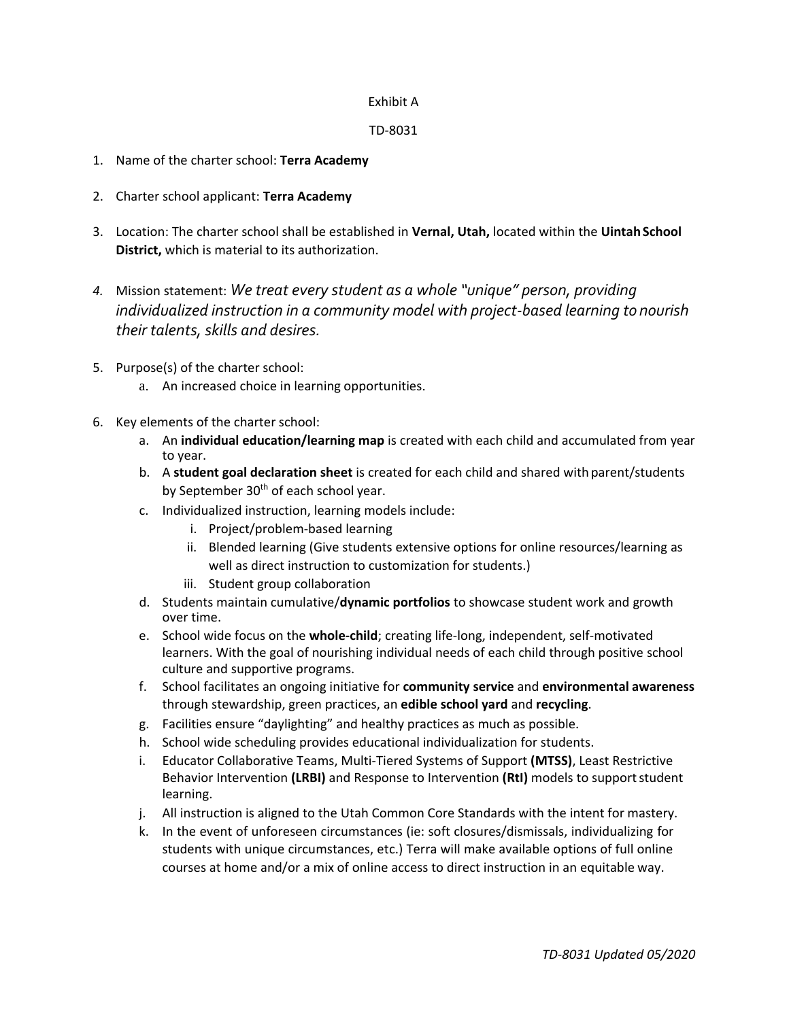## Exhibit A

## TD-8031

- 1. Name of the charter school: **Terra Academy**
- 2. Charter school applicant: **Terra Academy**
- 3. Location: The charter school shall be established in **Vernal, Utah,** located within the **UintahSchool District,** which is material to its authorization.
- *4.* Mission statement: *We treat every student as a whole "unique" person, providing individualized instruction in a community model with project-based learning to nourish their talents, skills and desires.*
- 5. Purpose(s) of the charter school:
	- a. An increased choice in learning opportunities.
- 6. Key elements of the charter school:
	- a. An **individual education/learning map** is created with each child and accumulated from year to year.
	- b. A **student goal declaration sheet** is created for each child and shared with parent/students by September 30<sup>th</sup> of each school year.
	- c. Individualized instruction, learning models include:
		- i. Project/problem-based learning
		- ii. Blended learning (Give students extensive options for online resources/learning as well as direct instruction to customization for students.)
		- iii. Student group collaboration
	- d. Students maintain cumulative/**dynamic portfolios** to showcase student work and growth over time.
	- e. School wide focus on the **whole-child**; creating life-long, independent, self-motivated learners. With the goal of nourishing individual needs of each child through positive school culture and supportive programs.
	- f. School facilitates an ongoing initiative for **community service** and **environmental awareness** through stewardship, green practices, an **edible school yard** and **recycling**.
	- g. Facilities ensure "daylighting" and healthy practices as much as possible.
	- h. School wide scheduling provides educational individualization for students.
	- i. Educator Collaborative Teams, Multi-Tiered Systems of Support **(MTSS)**, Least Restrictive Behavior Intervention **(LRBI)** and Response to Intervention **(RtI)** models to supportstudent learning.
	- j. All instruction is aligned to the Utah Common Core Standards with the intent for mastery.
	- k. In the event of unforeseen circumstances (ie: soft closures/dismissals, individualizing for students with unique circumstances, etc.) Terra will make available options of full online courses at home and/or a mix of online access to direct instruction in an equitable way.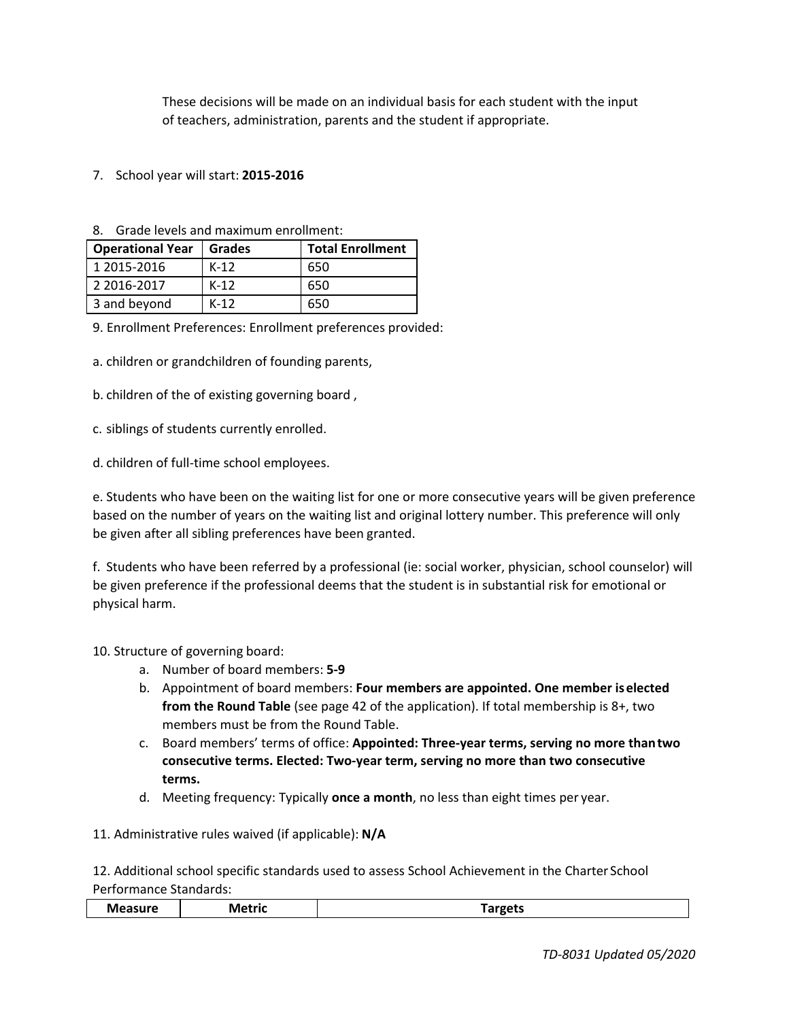These decisions will be made on an individual basis for each student with the input of teachers, administration, parents and the student if appropriate.

7. School year will start: **2015-2016**

| <b>Operational Year</b> | <b>Grades</b> | <b>Total Enrollment</b> |
|-------------------------|---------------|-------------------------|
| 1 2015-2016             | $K-12$        | 650                     |
| 2 2016-2017             | $K-12$        | 650                     |
| 3 and beyond            | $K-12$        | 650                     |

8. Grade levels and maximum enrollment:

9. Enrollment Preferences: Enrollment preferences provided:

a. children or grandchildren of founding parents,

b. children of the of existing governing board ,

c. siblings of students currently enrolled.

d. children of full-time school employees.

e. Students who have been on the waiting list for one or more consecutive years will be given preference based on the number of years on the waiting list and original lottery number. This preference will only be given after all sibling preferences have been granted.

f. Students who have been referred by a professional (ie: social worker, physician, school counselor) will be given preference if the professional deems that the student is in substantial risk for emotional or physical harm.

10. Structure of governing board:

- a. Number of board members: **5-9**
- b. Appointment of board members: **Four members are appointed. One member iselected from the Round Table** (see page 42 of the application). If total membership is 8+, two members must be from the Round Table.
- c. Board members' terms of office: **Appointed: Three-year terms, serving no more thantwo consecutive terms. Elected: Two-year term, serving no more than two consecutive terms.**
- d. Meeting frequency: Typically **once a month**, no less than eight times per year.

11. Administrative rules waived (if applicable): **N/A**

12. Additional school specific standards used to assess School Achievement in the Charter School Performance Standards:

| <b>Measure</b> | Metric<br>___ | <b>Targets</b><br>. <u>.</u> |
|----------------|---------------|------------------------------|
|                |               |                              |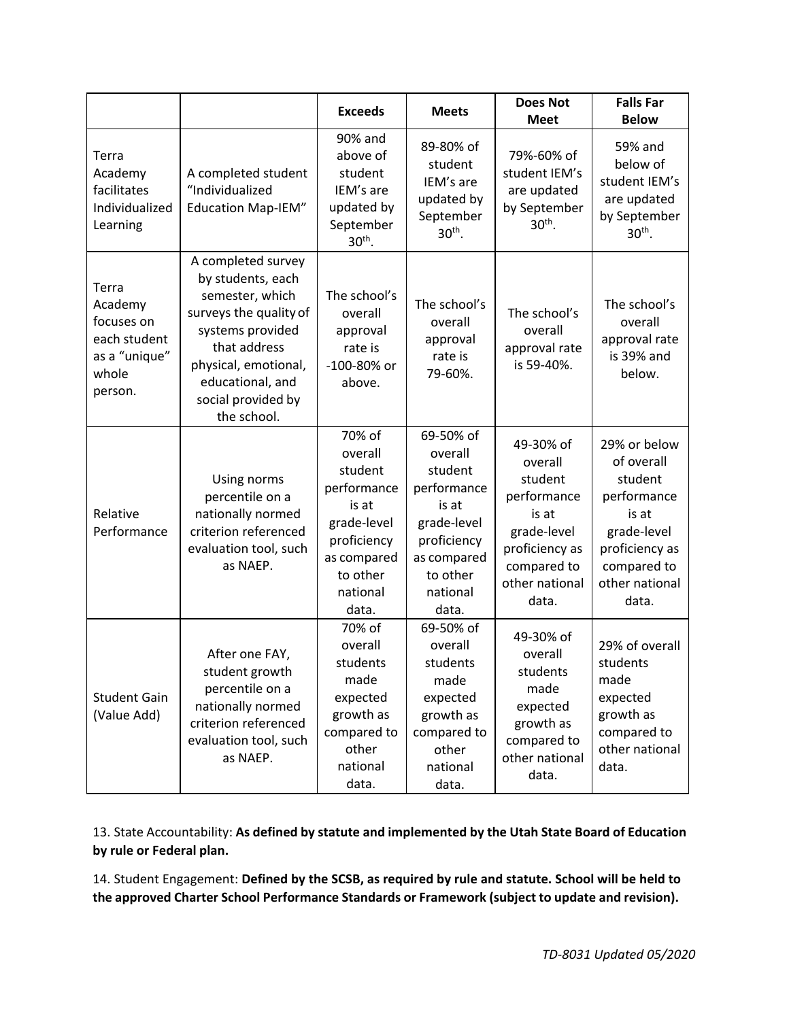|                                                                                     |                                                                                                                                                                                                           | <b>Exceeds</b>                                                                                                                     | <b>Meets</b>                                                                                                                          | <b>Does Not</b><br><b>Meet</b>                                                                                                     | <b>Falls Far</b><br><b>Below</b>                                                                                                         |
|-------------------------------------------------------------------------------------|-----------------------------------------------------------------------------------------------------------------------------------------------------------------------------------------------------------|------------------------------------------------------------------------------------------------------------------------------------|---------------------------------------------------------------------------------------------------------------------------------------|------------------------------------------------------------------------------------------------------------------------------------|------------------------------------------------------------------------------------------------------------------------------------------|
| Terra<br>Academy<br>facilitates<br>Individualized<br>Learning                       | A completed student<br>"Individualized<br><b>Education Map-IEM"</b>                                                                                                                                       | 90% and<br>above of<br>student<br>IEM's are<br>updated by<br>September<br>$30th$ .                                                 | 89-80% of<br>student<br>IEM's are<br>updated by<br>September<br>$30th$ .                                                              | 79%-60% of<br>student IEM's<br>are updated<br>by September<br>30 <sup>th</sup> .                                                   | 59% and<br>below of<br>student IEM's<br>are updated<br>by September<br>$30th$ .                                                          |
| Terra<br>Academy<br>focuses on<br>each student<br>as a "unique"<br>whole<br>person. | A completed survey<br>by students, each<br>semester, which<br>surveys the quality of<br>systems provided<br>that address<br>physical, emotional,<br>educational, and<br>social provided by<br>the school. | The school's<br>overall<br>approval<br>rate is<br>-100-80% or<br>above.                                                            | The school's<br>overall<br>approval<br>rate is<br>79-60%.                                                                             | The school's<br>overall<br>approval rate<br>is 59-40%.                                                                             | The school's<br>overall<br>approval rate<br>is 39% and<br>below.                                                                         |
| Relative<br>Performance                                                             | Using norms<br>percentile on a<br>nationally normed<br>criterion referenced<br>evaluation tool, such<br>as NAEP.                                                                                          | 70% of<br>overall<br>student<br>performance<br>is at<br>grade-level<br>proficiency<br>as compared<br>to other<br>national<br>data. | 69-50% of<br>overall<br>student<br>performance<br>is at<br>grade-level<br>proficiency<br>as compared<br>to other<br>national<br>data. | 49-30% of<br>overall<br>student<br>performance<br>is at<br>grade-level<br>proficiency as<br>compared to<br>other national<br>data. | 29% or below<br>of overall<br>student<br>performance<br>is at<br>grade-level<br>proficiency as<br>compared to<br>other national<br>data. |
| <b>Student Gain</b><br>(Value Add)                                                  | After one FAY,<br>student growth<br>percentile on a<br>nationally normed<br>criterion referenced<br>evaluation tool, such<br>as NAEP.                                                                     | 70% of<br>overall<br>students<br>made<br>expected<br>growth as<br>compared to<br>other<br>national<br>data.                        | 69-50% of<br>overall<br>students<br>made<br>expected<br>growth as<br>compared to<br>other<br>national<br>data.                        | 49-30% of<br>overall<br>students<br>made<br>expected<br>growth as<br>compared to<br>other national<br>data.                        | 29% of overall<br>students<br>made<br>expected<br>growth as<br>compared to<br>other national<br>data.                                    |

13. State Accountability: **As defined by statute and implemented by the Utah State Board of Education by rule or Federal plan.**

14. Student Engagement: **Defined by the SCSB, as required by rule and statute. School will be held to the approved Charter School Performance Standards or Framework (subject to update and revision).**